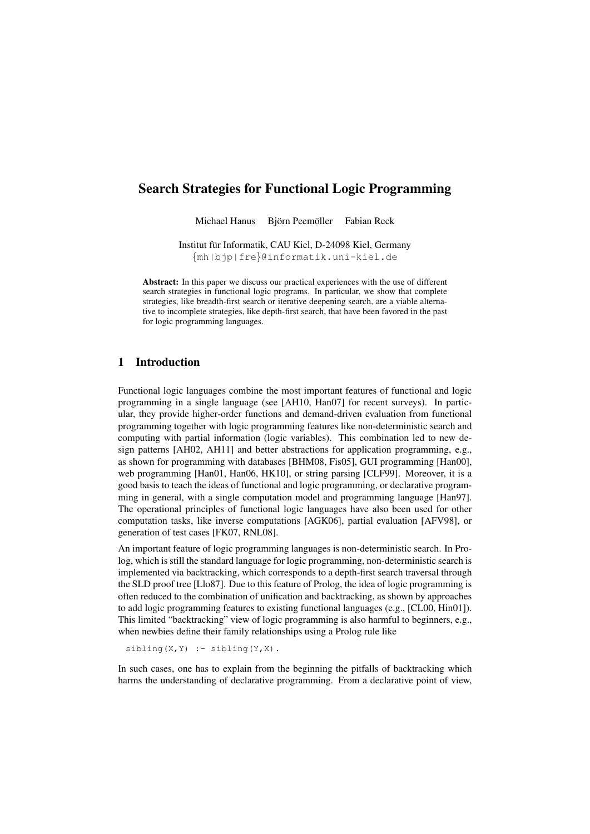# Search Strategies for Functional Logic Programming

Michael Hanus Björn Peemöller Fabian Reck

Institut fur Informatik, CAU Kiel, D-24098 Kiel, Germany ¨ {mh|bjp|fre}@informatik.uni-kiel.de

Abstract: In this paper we discuss our practical experiences with the use of different search strategies in functional logic programs. In particular, we show that complete strategies, like breadth-first search or iterative deepening search, are a viable alternative to incomplete strategies, like depth-first search, that have been favored in the past for logic programming languages.

### 1 Introduction

Functional logic languages combine the most important features of functional and logic programming in a single language (see [AH10, Han07] for recent surveys). In particular, they provide higher-order functions and demand-driven evaluation from functional programming together with logic programming features like non-deterministic search and computing with partial information (logic variables). This combination led to new design patterns [AH02, AH11] and better abstractions for application programming, e.g., as shown for programming with databases [BHM08, Fis05], GUI programming [Han00], web programming [Han01, Han06, HK10], or string parsing [CLF99]. Moreover, it is a good basis to teach the ideas of functional and logic programming, or declarative programming in general, with a single computation model and programming language [Han97]. The operational principles of functional logic languages have also been used for other computation tasks, like inverse computations [AGK06], partial evaluation [AFV98], or generation of test cases [FK07, RNL08].

An important feature of logic programming languages is non-deterministic search. In Prolog, which is still the standard language for logic programming, non-deterministic search is implemented via backtracking, which corresponds to a depth-first search traversal through the SLD proof tree [Llo87]. Due to this feature of Prolog, the idea of logic programming is often reduced to the combination of unification and backtracking, as shown by approaches to add logic programming features to existing functional languages (e.g., [CL00, Hin01]). This limited "backtracking" view of logic programming is also harmful to beginners, e.g., when newbies define their family relationships using a Prolog rule like

 $sibling(X, Y) :- sibling(Y, X)$ .

In such cases, one has to explain from the beginning the pitfalls of backtracking which harms the understanding of declarative programming. From a declarative point of view,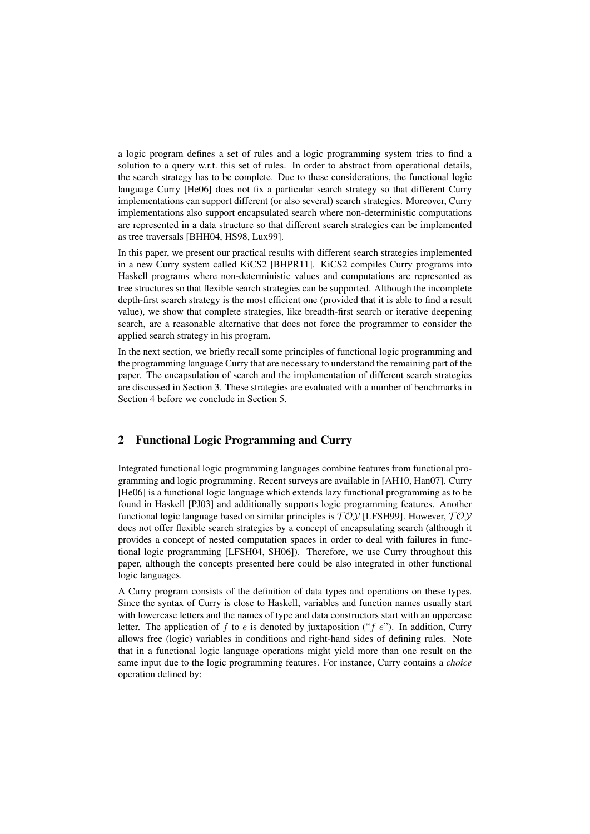a logic program defines a set of rules and a logic programming system tries to find a solution to a query w.r.t. this set of rules. In order to abstract from operational details, the search strategy has to be complete. Due to these considerations, the functional logic language Curry [He06] does not fix a particular search strategy so that different Curry implementations can support different (or also several) search strategies. Moreover, Curry implementations also support encapsulated search where non-deterministic computations are represented in a data structure so that different search strategies can be implemented as tree traversals [BHH04, HS98, Lux99].

In this paper, we present our practical results with different search strategies implemented in a new Curry system called KiCS2 [BHPR11]. KiCS2 compiles Curry programs into Haskell programs where non-deterministic values and computations are represented as tree structures so that flexible search strategies can be supported. Although the incomplete depth-first search strategy is the most efficient one (provided that it is able to find a result value), we show that complete strategies, like breadth-first search or iterative deepening search, are a reasonable alternative that does not force the programmer to consider the applied search strategy in his program.

In the next section, we briefly recall some principles of functional logic programming and the programming language Curry that are necessary to understand the remaining part of the paper. The encapsulation of search and the implementation of different search strategies are discussed in Section 3. These strategies are evaluated with a number of benchmarks in Section 4 before we conclude in Section 5.

## 2 Functional Logic Programming and Curry

Integrated functional logic programming languages combine features from functional programming and logic programming. Recent surveys are available in [AH10, Han07]. Curry [He06] is a functional logic language which extends lazy functional programming as to be found in Haskell [PJ03] and additionally supports logic programming features. Another functional logic language based on similar principles is  $T OV$  [LFSH99]. However,  $T OV$ does not offer flexible search strategies by a concept of encapsulating search (although it provides a concept of nested computation spaces in order to deal with failures in functional logic programming [LFSH04, SH06]). Therefore, we use Curry throughout this paper, although the concepts presented here could be also integrated in other functional logic languages.

A Curry program consists of the definition of data types and operations on these types. Since the syntax of Curry is close to Haskell, variables and function names usually start with lowercase letters and the names of type and data constructors start with an uppercase letter. The application of f to e is denoted by juxtaposition ("f e"). In addition, Curry allows free (logic) variables in conditions and right-hand sides of defining rules. Note that in a functional logic language operations might yield more than one result on the same input due to the logic programming features. For instance, Curry contains a *choice* operation defined by: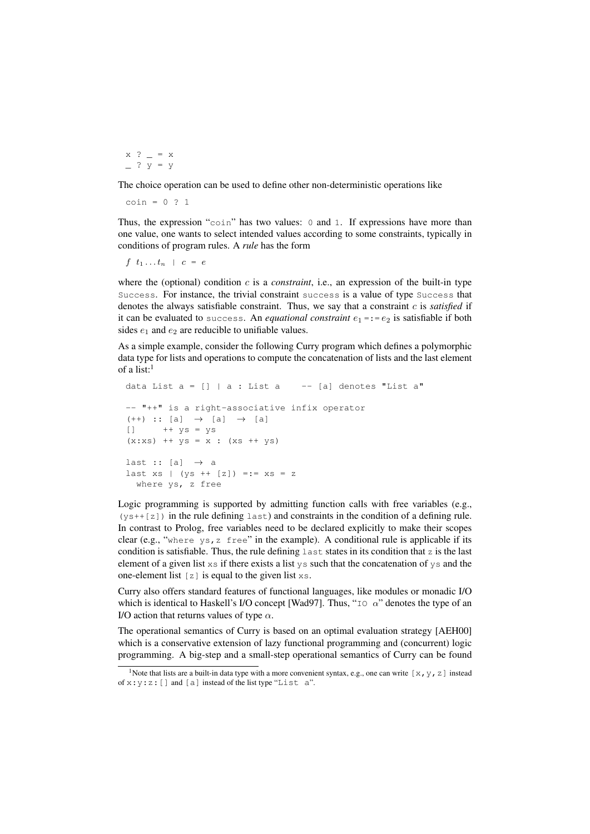$x$  ?  $= x$  $\overline{ }$  ?  $\overline{y}$  =  $\overline{y}$ 

The choice operation can be used to define other non-deterministic operations like

 $coin = 0 ? 1$ 

Thus, the expression "coin" has two values: 0 and 1. If expressions have more than one value, one wants to select intended values according to some constraints, typically in conditions of program rules. A *rule* has the form

 $f \t_1 ... t_n \t c = e$ 

where the (optional) condition c is a *constraint*, i.e., an expression of the built-in type Success. For instance, the trivial constraint success is a value of type Success that denotes the always satisfiable constraint. Thus, we say that a constraint c is *satisfied* if it can be evaluated to success. An *equational constraint*  $e_1 = e_2$  is satisfiable if both sides  $e_1$  and  $e_2$  are reducible to unifiable values.

As a simple example, consider the following Curry program which defines a polymorphic data type for lists and operations to compute the concatenation of lists and the last element of a list: $<sup>1</sup>$ </sup>

```
data List a = [] | a: List a = - [a] denotes "List a"
-- "++" is a right-associative infix operator
(++) :: [a] \rightarrow [a] \rightarrow [a]
[] ++ ys = ys
(x:xs) ++ ys = x : (xs + ys)last :: [a] \rightarrow a
last xs | (ys + [z]) == xs = zwhere ys, z free
```
Logic programming is supported by admitting function calls with free variables (e.g.,  $(ys++[z])$  in the rule defining last) and constraints in the condition of a defining rule. In contrast to Prolog, free variables need to be declared explicitly to make their scopes clear (e.g., "where  $ys, z$  free" in the example). A conditional rule is applicable if its condition is satisfiable. Thus, the rule defining  $\text{last}$  states in its condition that z is the last element of a given list  $x s$  if there exists a list  $y s$  such that the concatenation of  $y s$  and the one-element list  $[z]$  is equal to the given list  $xs$ .

Curry also offers standard features of functional languages, like modules or monadic I/O which is identical to Haskell's I/O concept [Wad97]. Thus, " $I \circ \alpha$ " denotes the type of an I/O action that returns values of type  $\alpha$ .

The operational semantics of Curry is based on an optimal evaluation strategy [AEH00] which is a conservative extension of lazy functional programming and (concurrent) logic programming. A big-step and a small-step operational semantics of Curry can be found

<sup>&</sup>lt;sup>1</sup> Note that lists are a built-in data type with a more convenient syntax, e.g., one can write  $[x, y, z]$  instead of  $x: y: z:$  [] and [a] instead of the list type "List a".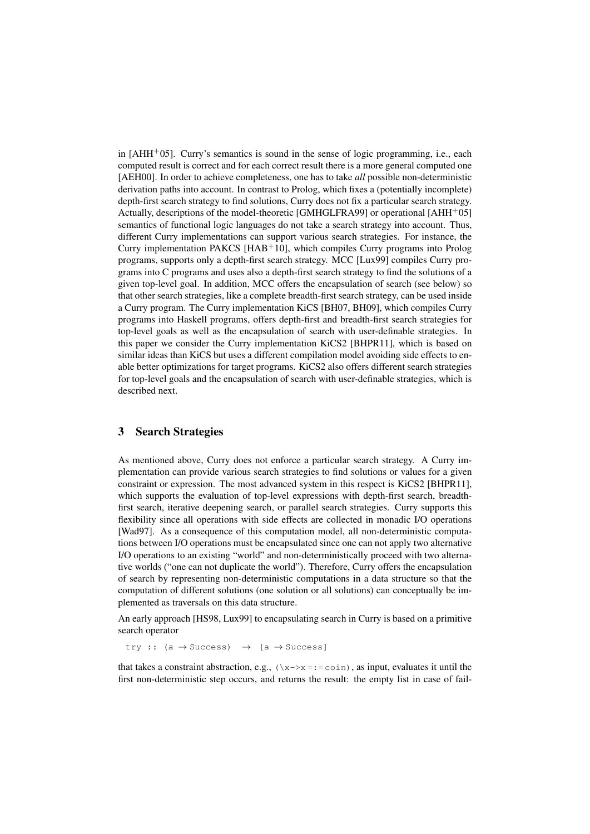in  $[AHH<sup>+</sup>05]$ . Curry's semantics is sound in the sense of logic programming, i.e., each computed result is correct and for each correct result there is a more general computed one [AEH00]. In order to achieve completeness, one has to take *all* possible non-deterministic derivation paths into account. In contrast to Prolog, which fixes a (potentially incomplete) depth-first search strategy to find solutions, Curry does not fix a particular search strategy. Actually, descriptions of the model-theoretic [GMHGLFRA99] or operational [AHH+05] semantics of functional logic languages do not take a search strategy into account. Thus, different Curry implementations can support various search strategies. For instance, the Curry implementation PAKCS  $[HAB<sup>+</sup>10]$ , which compiles Curry programs into Prolog programs, supports only a depth-first search strategy. MCC [Lux99] compiles Curry programs into C programs and uses also a depth-first search strategy to find the solutions of a given top-level goal. In addition, MCC offers the encapsulation of search (see below) so that other search strategies, like a complete breadth-first search strategy, can be used inside a Curry program. The Curry implementation KiCS [BH07, BH09], which compiles Curry programs into Haskell programs, offers depth-first and breadth-first search strategies for top-level goals as well as the encapsulation of search with user-definable strategies. In this paper we consider the Curry implementation KiCS2 [BHPR11], which is based on similar ideas than KiCS but uses a different compilation model avoiding side effects to enable better optimizations for target programs. KiCS2 also offers different search strategies for top-level goals and the encapsulation of search with user-definable strategies, which is described next.

### 3 Search Strategies

As mentioned above, Curry does not enforce a particular search strategy. A Curry implementation can provide various search strategies to find solutions or values for a given constraint or expression. The most advanced system in this respect is KiCS2 [BHPR11], which supports the evaluation of top-level expressions with depth-first search, breadthfirst search, iterative deepening search, or parallel search strategies. Curry supports this flexibility since all operations with side effects are collected in monadic I/O operations [Wad97]. As a consequence of this computation model, all non-deterministic computations between I/O operations must be encapsulated since one can not apply two alternative I/O operations to an existing "world" and non-deterministically proceed with two alternative worlds ("one can not duplicate the world"). Therefore, Curry offers the encapsulation of search by representing non-deterministic computations in a data structure so that the computation of different solutions (one solution or all solutions) can conceptually be implemented as traversals on this data structure.

An early approach [HS98, Lux99] to encapsulating search in Curry is based on a primitive search operator

try ::  $(a \rightarrow Success)$   $\rightarrow$   $[a \rightarrow Success]$ 

that takes a constraint abstraction, e.g.,  $(\xrightarrow x =: = \text{coin})$ , as input, evaluates it until the first non-deterministic step occurs, and returns the result: the empty list in case of fail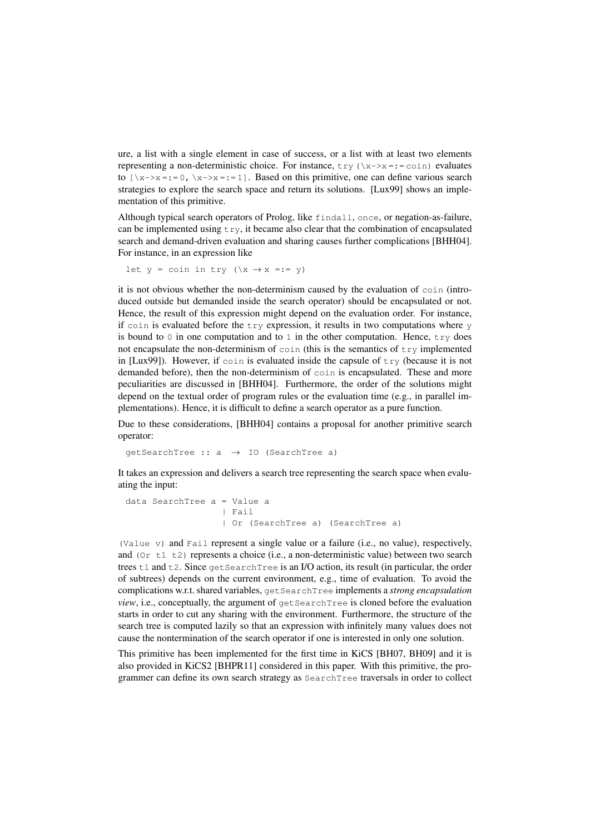ure, a list with a single element in case of success, or a list with at least two elements representing a non-deterministic choice. For instance,  $\text{try } (\xrightarrow{x} \rightarrow x =: = \text{coin})$  evaluates to  $[\xrightarrow{x->x} =: 0, \xrightarrow{x->x} =: = 1]$ . Based on this primitive, one can define various search strategies to explore the search space and return its solutions. [Lux99] shows an implementation of this primitive.

Although typical search operators of Prolog, like findall, once, or negation-as-failure, can be implemented using  $\text{tr }y$ , it became also clear that the combination of encapsulated search and demand-driven evaluation and sharing causes further complications [BHH04]. For instance, in an expression like

let  $y = coin in try (\> x \rightarrow x == y)$ 

it is not obvious whether the non-determinism caused by the evaluation of coin (introduced outside but demanded inside the search operator) should be encapsulated or not. Hence, the result of this expression might depend on the evaluation order. For instance, if coin is evaluated before the  $trv$  expression, it results in two computations where  $v$ is bound to  $\theta$  in one computation and to  $\theta$  in the other computation. Hence, try does not encapsulate the non-determinism of  $\cosh$  (this is the semantics of  $\trth$ y implemented in [Lux99]). However, if  $\cosh$  is evaluated inside the capsule of  $\trth$ y (because it is not demanded before), then the non-determinism of coin is encapsulated. These and more peculiarities are discussed in [BHH04]. Furthermore, the order of the solutions might depend on the textual order of program rules or the evaluation time (e.g., in parallel implementations). Hence, it is difficult to define a search operator as a pure function.

Due to these considerations, [BHH04] contains a proposal for another primitive search operator:

 $qetsearchTree :: a \rightarrow IO (SearchTree a)$ 

It takes an expression and delivers a search tree representing the search space when evaluating the input:

```
data SearchTree a = Value a
                | Fail
                 | Or (SearchTree a) (SearchTree a)
```
(Value v) and Fail represent a single value or a failure (i.e., no value), respectively, and ( $Or$  t1 t2) represents a choice (i.e., a non-deterministic value) between two search trees  $\pm 1$  and  $\pm 2$ . Since get SearchTree is an I/O action, its result (in particular, the order of subtrees) depends on the current environment, e.g., time of evaluation. To avoid the complications w.r.t. shared variables, getSearchTree implements a *strong encapsulation view*, i.e., conceptually, the argument of get SearchTree is cloned before the evaluation starts in order to cut any sharing with the environment. Furthermore, the structure of the search tree is computed lazily so that an expression with infinitely many values does not cause the nontermination of the search operator if one is interested in only one solution.

This primitive has been implemented for the first time in KiCS [BH07, BH09] and it is also provided in KiCS2 [BHPR11] considered in this paper. With this primitive, the programmer can define its own search strategy as SearchTree traversals in order to collect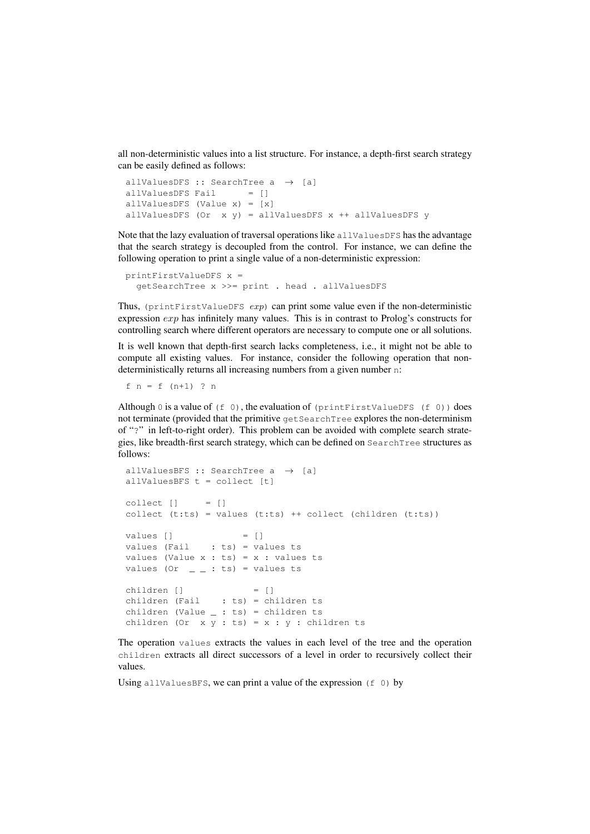all non-deterministic values into a list structure. For instance, a depth-first search strategy can be easily defined as follows:

```
allValuesDFS :: SearchTree a \rightarrow [a]
allValuesDFS Fail = []allValuesDFS (Value x) = [x]
allValuesDFS (Or x y) = allValuesDFS x ++ allValuesDFS y
```
Note that the lazy evaluation of traversal operations like allValuesDFS has the advantage that the search strategy is decoupled from the control. For instance, we can define the following operation to print a single value of a non-deterministic expression:

printFirstValueDFS x = getSearchTree x >>= print . head . allValuesDFS

Thus, (printFirstValueDFS  $exp$ ) can print some value even if the non-deterministic expression exp has infinitely many values. This is in contrast to Prolog's constructs for controlling search where different operators are necessary to compute one or all solutions.

It is well known that depth-first search lacks completeness, i.e., it might not be able to compute all existing values. For instance, consider the following operation that nondeterministically returns all increasing numbers from a given number n:

f  $n = f (n+1)$  ? n

Although 0 is a value of  $(f \ 0)$ , the evaluation of  $(printFirstValueDFS (f 0))$  does not terminate (provided that the primitive getSearchTree explores the non-determinism of "?" in left-to-right order). This problem can be avoided with complete search strategies, like breadth-first search strategy, which can be defined on SearchTree structures as follows:

```
allValuesBFS :: SearchTree a \rightarrow [a]
allValuesBFS t = collect [t]
collect [] = []collect (t:ts) = values (t:ts) ++ collect (children (t:ts))values [] = []
values (Fail : ts) = values ts
values (Value x : ts) = x : values ts
values (Or \angle \angle : ts) = values ts
children [] = []
children (Fail : ts) = children ts
children (Value \_ : ts) = children ts
children (Or x y : ts) = x : y : children ts
```
The operation values extracts the values in each level of the tree and the operation children extracts all direct successors of a level in order to recursively collect their values.

Using allvalues BFS, we can print a value of the expression  $(f \ 0)$  by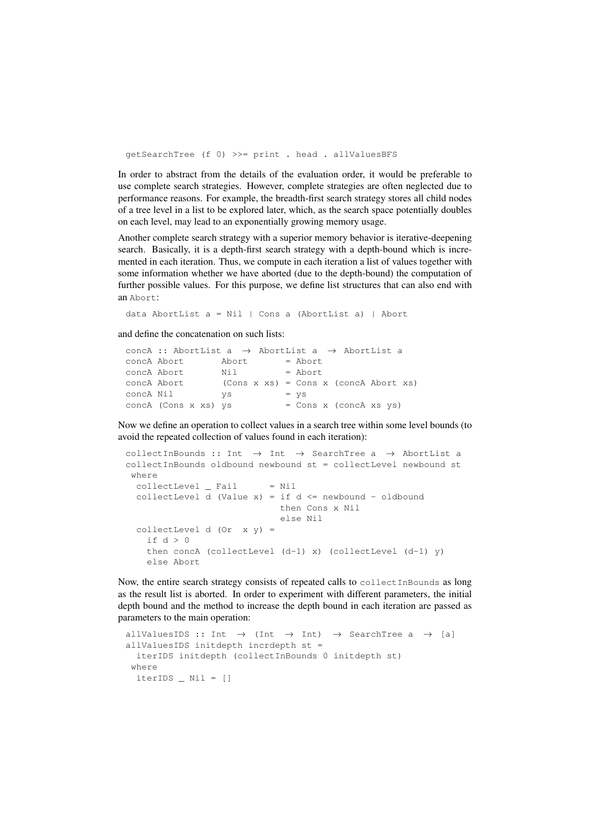getSearchTree (f 0) >>= print . head . allValuesBFS

In order to abstract from the details of the evaluation order, it would be preferable to use complete search strategies. However, complete strategies are often neglected due to performance reasons. For example, the breadth-first search strategy stores all child nodes of a tree level in a list to be explored later, which, as the search space potentially doubles on each level, may lead to an exponentially growing memory usage.

Another complete search strategy with a superior memory behavior is iterative-deepening search. Basically, it is a depth-first search strategy with a depth-bound which is incremented in each iteration. Thus, we compute in each iteration a list of values together with some information whether we have aborted (due to the depth-bound) the computation of further possible values. For this purpose, we define list structures that can also end with an Abort:

data AbortList a = Nil | Cons a (AbortList a) | Abort

and define the concatenation on such lists:

```
concA :: AbortList a \rightarrow AbortList a \rightarrow AbortList a
concA Abort Abort = Abort
concA Abort Nil = Abort
concA Abort (Cons x xs) = Cons x (concA Abort xs)
concA Nil ys = ys
concA (Cons x xs) ys = Cons x (concA xs ys)
```
Now we define an operation to collect values in a search tree within some level bounds (to avoid the repeated collection of values found in each iteration):

```
collectInBounds :: Int \rightarrow Int \rightarrow SearchTree a \rightarrow AbortList a
collectInBounds oldbound newbound st = collectLevel newbound st
 where
  collectLevel = Nil = NilcollectLevel d (Value x) = if d \leq newbound - oldbound
                              then Cons x Nil
                              else Nil
  collectLevel d (Or x y) =
    if d > 0then concA (collectLevel (d-1) x) (collectLevel (d-1) y)
    else Abort
```
Now, the entire search strategy consists of repeated calls to collectInBounds as long as the result list is aborted. In order to experiment with different parameters, the initial depth bound and the method to increase the depth bound in each iteration are passed as parameters to the main operation:

```
allValuesIDS :: Int \rightarrow (Int \rightarrow Int) \rightarrow SearchTree a \rightarrow [a]
allValuesIDS initdepth incrdepth st =
 iterIDS initdepth (collectInBounds 0 initdepth st)
where
  iterIDS Nil = []
```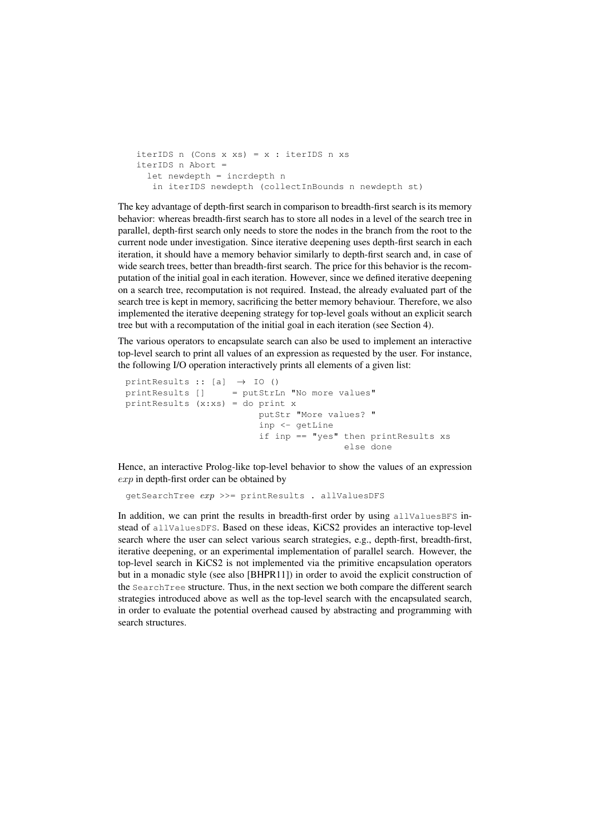```
iterIDS n (Cons x xs) = x : iterIDS n xs
iterIDS n Abort =
  let newdepth = incrdepth n
   in iterIDS newdepth (collectInBounds n newdepth st)
```
The key advantage of depth-first search in comparison to breadth-first search is its memory behavior: whereas breadth-first search has to store all nodes in a level of the search tree in parallel, depth-first search only needs to store the nodes in the branch from the root to the current node under investigation. Since iterative deepening uses depth-first search in each iteration, it should have a memory behavior similarly to depth-first search and, in case of wide search trees, better than breadth-first search. The price for this behavior is the recomputation of the initial goal in each iteration. However, since we defined iterative deepening on a search tree, recomputation is not required. Instead, the already evaluated part of the search tree is kept in memory, sacrificing the better memory behaviour. Therefore, we also implemented the iterative deepening strategy for top-level goals without an explicit search tree but with a recomputation of the initial goal in each iteration (see Section 4).

The various operators to encapsulate search can also be used to implement an interactive top-level search to print all values of an expression as requested by the user. For instance, the following I/O operation interactively prints all elements of a given list:

```
printResults :: [a] \rightarrow IO()printResults [] = putStrLn "No more values"
printResults (x:xs) = do print x
                         putStr "More values? "
                         inp <- getLine
                         if inp == "yes" then printResults xs
                                         else done
```
Hence, an interactive Prolog-like top-level behavior to show the values of an expression  $exp$  in depth-first order can be obtained by

```
qetSearchTree exp \gg = printResults . allValuesDFS
```
In addition, we can print the results in breadth-first order by using  $allValuesBFS$  instead of allValuesDFS. Based on these ideas, KiCS2 provides an interactive top-level search where the user can select various search strategies, e.g., depth-first, breadth-first, iterative deepening, or an experimental implementation of parallel search. However, the top-level search in KiCS2 is not implemented via the primitive encapsulation operators but in a monadic style (see also [BHPR11]) in order to avoid the explicit construction of the SearchTree structure. Thus, in the next section we both compare the different search strategies introduced above as well as the top-level search with the encapsulated search, in order to evaluate the potential overhead caused by abstracting and programming with search structures.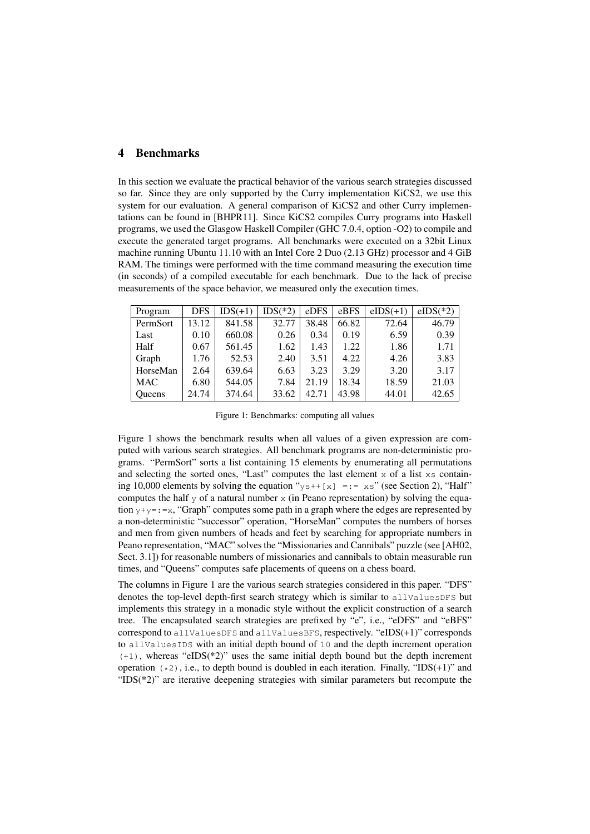### 4 Benchmarks

In this section we evaluate the practical behavior of the various search strategies discussed so far. Since they are only supported by the Curry implementation KiCS2, we use this system for our evaluation. A general comparison of KiCS2 and other Curry implementations can be found in [BHPR11]. Since KiCS2 compiles Curry programs into Haskell programs, we used the Glasgow Haskell Compiler (GHC 7.0.4, option -O2) to compile and execute the generated target programs. All benchmarks were executed on a 32bit Linux machine running Ubuntu 11.10 with an Intel Core 2 Duo (2.13 GHz) processor and 4 GiB RAM. The timings were performed with the time command measuring the execution time (in seconds) of a compiled executable for each benchmark. Due to the lack of precise measurements of the space behavior, we measured only the execution times.

| Program       | <b>DFS</b> | $IDS(+1)$ | $IDS(*2)$ | eDFS  | eBFS  | $eIDS(+1)$ | $eIDS(*2)$ |
|---------------|------------|-----------|-----------|-------|-------|------------|------------|
| PermSort      | 13.12      | 841.58    | 32.77     | 38.48 | 66.82 | 72.64      | 46.79      |
| Last          | 0.10       | 660.08    | 0.26      | 0.34  | 0.19  | 6.59       | 0.39       |
| Half          | 0.67       | 561.45    | 1.62      | 1.43  | 1.22  | 1.86       | 1.71       |
| Graph         | 1.76       | 52.53     | 2.40      | 3.51  | 4.22  | 4.26       | 3.83       |
| HorseMan      | 2.64       | 639.64    | 6.63      | 3.23  | 3.29  | 3.20       | 3.17       |
| <b>MAC</b>    | 6.80       | 544.05    | 7.84      | 21.19 | 18.34 | 18.59      | 21.03      |
| <b>Oueens</b> | 24.74      | 374.64    | 33.62     | 42.71 | 43.98 | 44.01      | 42.65      |

Figure 1: Benchmarks: computing all values

Figure 1 shows the benchmark results when all values of a given expression are computed with various search strategies. All benchmark programs are non-deterministic programs. "PermSort" sorts a list containing 15 elements by enumerating all permutations and selecting the sorted ones, "Last" computes the last element  $x$  of a list  $xs$  containing 10,000 elements by solving the equation " $y s++[x] = := x s$ " (see Section 2), "Half" computes the half  $\vee$  of a natural number  $\times$  (in Peano representation) by solving the equation  $y+y=:=x$ , "Graph" computes some path in a graph where the edges are represented by a non-deterministic "successor" operation, "HorseMan" computes the numbers of horses and men from given numbers of heads and feet by searching for appropriate numbers in Peano representation, "MAC" solves the "Missionaries and Cannibals" puzzle (see [AH02, Sect. 3.1]) for reasonable numbers of missionaries and cannibals to obtain measurable run times, and "Queens" computes safe placements of queens on a chess board.

The columns in Figure 1 are the various search strategies considered in this paper. "DFS" denotes the top-level depth-first search strategy which is similar to allValuesDFS but implements this strategy in a monadic style without the explicit construction of a search tree. The encapsulated search strategies are prefixed by "e", i.e., "eDFS" and "eBFS" correspond to allValuesDFS and allValuesBFS, respectively. "eIDS(+1)" corresponds to allValuesIDS with an initial depth bound of 10 and the depth increment operation  $(+1)$ , whereas "eIDS(\*2)" uses the same initial depth bound but the depth increment operation  $(*2)$ , i.e., to depth bound is doubled in each iteration. Finally, "IDS(+1)" and "IDS(\*2)" are iterative deepening strategies with similar parameters but recompute the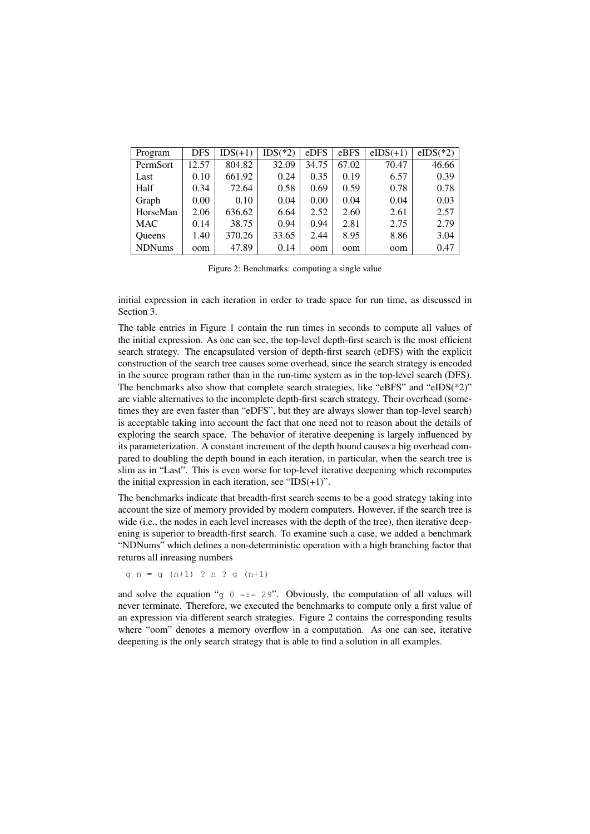| Program       | <b>DFS</b> | $IDS(+1)$ | $IDS(*2)$ | eDFS  | eBFS  | $eIDS(+1)$ | $eIDS(*2)$ |
|---------------|------------|-----------|-----------|-------|-------|------------|------------|
| PermSort      | 12.57      | 804.82    | 32.09     | 34.75 | 67.02 | 70.47      | 46.66      |
| Last          | 0.10       | 661.92    | 0.24      | 0.35  | 0.19  | 6.57       | 0.39       |
| Half          | 0.34       | 72.64     | 0.58      | 0.69  | 0.59  | 0.78       | 0.78       |
| Graph         | 0.00       | 0.10      | 0.04      | 0.00  | 0.04  | 0.04       | 0.03       |
| HorseMan      | 2.06       | 636.62    | 6.64      | 2.52  | 2.60  | 2.61       | 2.57       |
| <b>MAC</b>    | 0.14       | 38.75     | 0.94      | 0.94  | 2.81  | 2.75       | 2.79       |
| <b>Oueens</b> | 1.40       | 370.26    | 33.65     | 2.44  | 8.95  | 8.86       | 3.04       |
| <b>NDNums</b> | oom        | 47.89     | 0.14      | oom   | oom   | oom        | 0.47       |

Figure 2: Benchmarks: computing a single value

initial expression in each iteration in order to trade space for run time, as discussed in Section 3.

The table entries in Figure 1 contain the run times in seconds to compute all values of the initial expression. As one can see, the top-level depth-first search is the most efficient search strategy. The encapsulated version of depth-first search (eDFS) with the explicit construction of the search tree causes some overhead, since the search strategy is encoded in the source program rather than in the run-time system as in the top-level search (DFS). The benchmarks also show that complete search strategies, like "eBFS" and "eIDS(\*2)" are viable alternatives to the incomplete depth-first search strategy. Their overhead (sometimes they are even faster than "eDFS", but they are always slower than top-level search) is acceptable taking into account the fact that one need not to reason about the details of exploring the search space. The behavior of iterative deepening is largely influenced by its parameterization. A constant increment of the depth bound causes a big overhead compared to doubling the depth bound in each iteration, in particular, when the search tree is slim as in "Last". This is even worse for top-level iterative deepening which recomputes the initial expression in each iteration, see " $IDS(+1)$ ".

The benchmarks indicate that breadth-first search seems to be a good strategy taking into account the size of memory provided by modern computers. However, if the search tree is wide (i.e., the nodes in each level increases with the depth of the tree), then iterative deepening is superior to breadth-first search. To examine such a case, we added a benchmark "NDNums" which defines a non-deterministic operation with a high branching factor that returns all inreasing numbers

 $g n = g (n+1) ? n ? g (n+1)$ 

and solve the equation "g  $0 = := 29$ ". Obviously, the computation of all values will never terminate. Therefore, we executed the benchmarks to compute only a first value of an expression via different search strategies. Figure 2 contains the corresponding results where "oom" denotes a memory overflow in a computation. As one can see, iterative deepening is the only search strategy that is able to find a solution in all examples.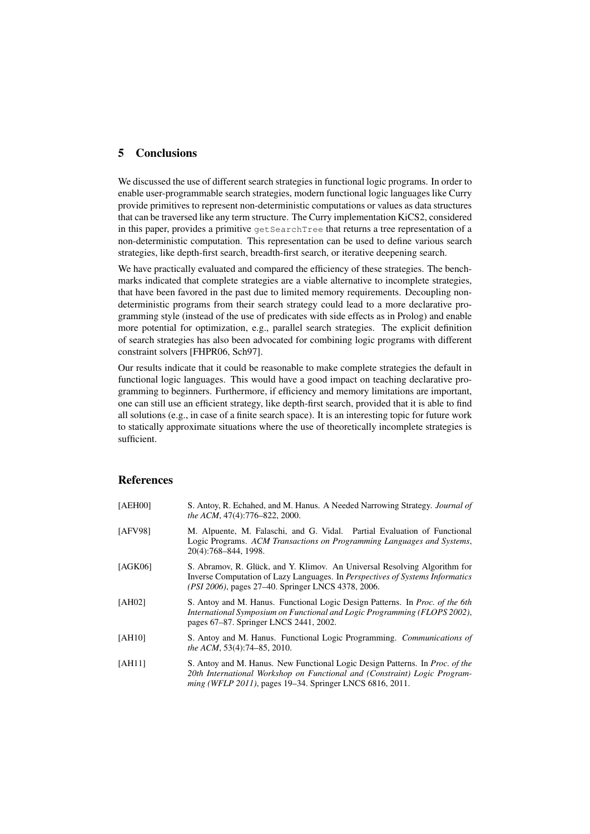#### 5 Conclusions

We discussed the use of different search strategies in functional logic programs. In order to enable user-programmable search strategies, modern functional logic languages like Curry provide primitives to represent non-deterministic computations or values as data structures that can be traversed like any term structure. The Curry implementation KiCS2, considered in this paper, provides a primitive getSearchTree that returns a tree representation of a non-deterministic computation. This representation can be used to define various search strategies, like depth-first search, breadth-first search, or iterative deepening search.

We have practically evaluated and compared the efficiency of these strategies. The benchmarks indicated that complete strategies are a viable alternative to incomplete strategies, that have been favored in the past due to limited memory requirements. Decoupling nondeterministic programs from their search strategy could lead to a more declarative programming style (instead of the use of predicates with side effects as in Prolog) and enable more potential for optimization, e.g., parallel search strategies. The explicit definition of search strategies has also been advocated for combining logic programs with different constraint solvers [FHPR06, Sch97].

Our results indicate that it could be reasonable to make complete strategies the default in functional logic languages. This would have a good impact on teaching declarative programming to beginners. Furthermore, if efficiency and memory limitations are important, one can still use an efficient strategy, like depth-first search, provided that it is able to find all solutions (e.g., in case of a finite search space). It is an interesting topic for future work to statically approximate situations where the use of theoretically incomplete strategies is sufficient.

### References

| [AEH00] | S. Antoy, R. Echahed, and M. Hanus. A Needed Narrowing Strategy. <i>Journal of</i><br>the ACM, 47(4):776-822, 2000.                                                                                                                  |  |  |  |
|---------|--------------------------------------------------------------------------------------------------------------------------------------------------------------------------------------------------------------------------------------|--|--|--|
| [AFV98] | M. Alpuente, M. Falaschi, and G. Vidal. Partial Evaluation of Functional<br>Logic Programs. ACM Transactions on Programming Languages and Systems,<br>20(4):768-844, 1998.                                                           |  |  |  |
| [AGK06] | S. Abramov, R. Glück, and Y. Klimov. An Universal Resolving Algorithm for<br>Inverse Computation of Lazy Languages. In <i>Perspectives of Systems Informatics</i><br>( <i>PSI 2006</i> ), pages 27–40. Springer LNCS 4378, 2006.     |  |  |  |
| [AH02]  | S. Antoy and M. Hanus. Functional Logic Design Patterns. In <i>Proc. of the 6th</i><br>International Symposium on Functional and Logic Programming (FLOPS 2002),<br>pages 67–87. Springer LNCS 2441, 2002.                           |  |  |  |
| [AH10]  | S. Antoy and M. Hanus. Functional Logic Programming. Communications of<br><i>the ACM</i> , 53(4):74–85, 2010.                                                                                                                        |  |  |  |
| [AH11]  | S. Antoy and M. Hanus. New Functional Logic Design Patterns. In <i>Proc. of the</i><br>20th International Workshop on Functional and (Constraint) Logic Program-<br><i>ming (WFLP 2011)</i> , pages 19–34. Springer LNCS 6816, 2011. |  |  |  |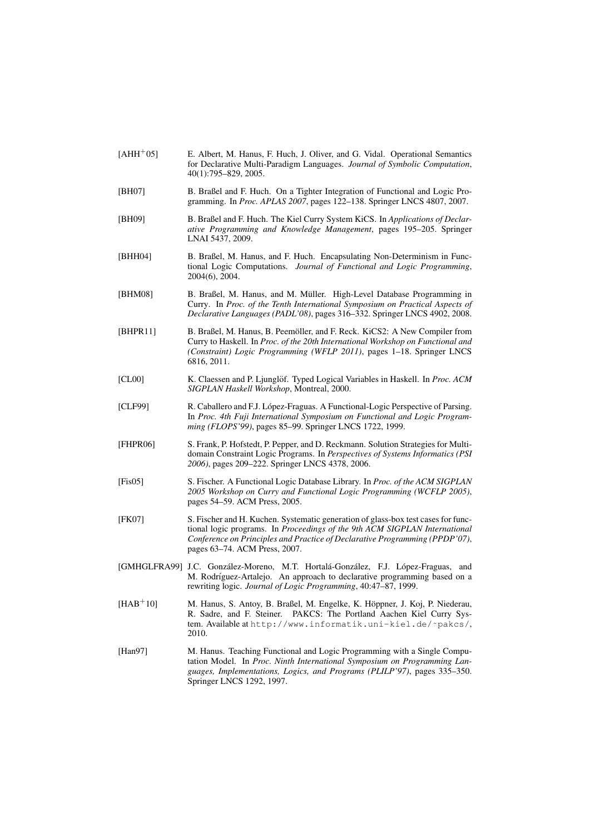- [AHH<sup>+</sup>05] E. Albert, M. Hanus, F. Huch, J. Oliver, and G. Vidal. Operational Semantics for Declarative Multi-Paradigm Languages. *Journal of Symbolic Computation*, 40(1):795–829, 2005.
- [BH07] B. Braßel and F. Huch. On a Tighter Integration of Functional and Logic Programming. In *Proc. APLAS 2007*, pages 122–138. Springer LNCS 4807, 2007.
- [BH09] B. Braßel and F. Huch. The Kiel Curry System KiCS. In *Applications of Declarative Programming and Knowledge Management*, pages 195–205. Springer LNAI 5437, 2009.
- [BHH04] B. Braßel, M. Hanus, and F. Huch. Encapsulating Non-Determinism in Functional Logic Computations. *Journal of Functional and Logic Programming*, 2004(6), 2004.
- [BHM08] B. Braßel, M. Hanus, and M. Müller. High-Level Database Programming in Curry. In *Proc. of the Tenth International Symposium on Practical Aspects of Declarative Languages (PADL'08)*, pages 316–332. Springer LNCS 4902, 2008.
- [BHPR11] B. Braßel, M. Hanus, B. Peemöller, and F. Reck. KiCS2: A New Compiler from Curry to Haskell. In *Proc. of the 20th International Workshop on Functional and (Constraint) Logic Programming (WFLP 2011)*, pages 1–18. Springer LNCS 6816, 2011.
- [CL00] K. Claessen and P. Ljunglöf. Typed Logical Variables in Haskell. In *Proc. ACM SIGPLAN Haskell Workshop*, Montreal, 2000.
- [CLF99] R. Caballero and F.J. López-Fraguas. A Functional-Logic Perspective of Parsing. In *Proc. 4th Fuji International Symposium on Functional and Logic Programming (FLOPS'99)*, pages 85–99. Springer LNCS 1722, 1999.
- [FHPR06] S. Frank, P. Hofstedt, P. Pepper, and D. Reckmann. Solution Strategies for Multidomain Constraint Logic Programs. In *Perspectives of Systems Informatics (PSI 2006)*, pages 209–222. Springer LNCS 4378, 2006.
- [Fis05] S. Fischer. A Functional Logic Database Library. In *Proc. of the ACM SIGPLAN 2005 Workshop on Curry and Functional Logic Programming (WCFLP 2005)*, pages 54–59. ACM Press, 2005.
- [FK07] S. Fischer and H. Kuchen. Systematic generation of glass-box test cases for functional logic programs. In *Proceedings of the 9th ACM SIGPLAN International Conference on Principles and Practice of Declarative Programming (PPDP'07)*, pages 63–74. ACM Press, 2007.
- [GMHGLFRA99] J.C. González-Moreno, M.T. Hortalá-González, F.J. López-Fraguas, and M. Rodríguez-Artalejo. An approach to declarative programming based on a rewriting logic. *Journal of Logic Programming*, 40:47–87, 1999.
- [HAB<sup>+</sup>10] M. Hanus, S. Antoy, B. Braßel, M. Engelke, K. Hoppner, J. Koj, P. Niederau, ¨ R. Sadre, and F. Steiner. PAKCS: The Portland Aachen Kiel Curry System. Available at http://www.informatik.uni-kiel.de/˜pakcs/, 2010.
- [Han97] M. Hanus. Teaching Functional and Logic Programming with a Single Computation Model. In *Proc. Ninth International Symposium on Programming Languages, Implementations, Logics, and Programs (PLILP'97)*, pages 335–350. Springer LNCS 1292, 1997.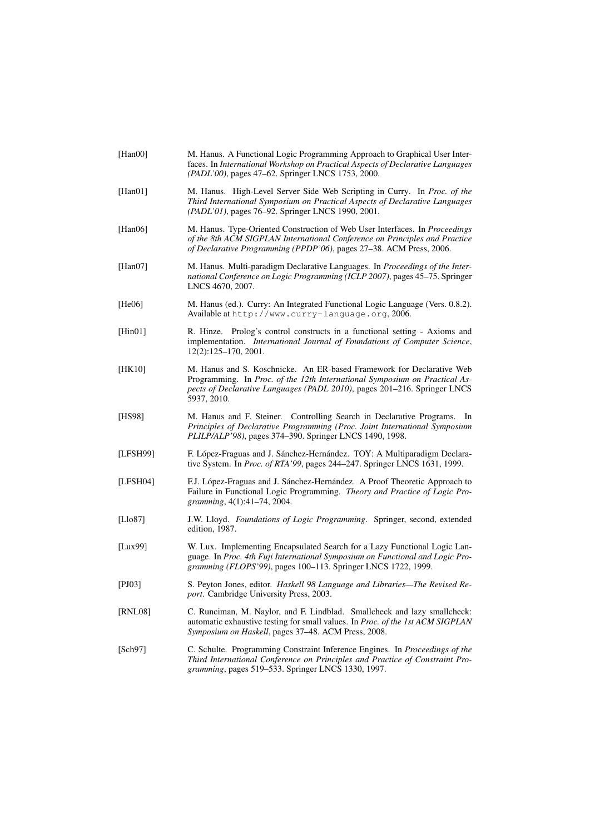| [Han00]  | M. Hanus. A Functional Logic Programming Approach to Graphical User Inter-<br>faces. In International Workshop on Practical Aspects of Declarative Languages<br>(PADL'00), pages 47–62. Springer LNCS 1753, 2000.                              |
|----------|------------------------------------------------------------------------------------------------------------------------------------------------------------------------------------------------------------------------------------------------|
| [Han01]  | M. Hanus. High-Level Server Side Web Scripting in Curry. In Proc. of the<br>Third International Symposium on Practical Aspects of Declarative Languages<br>(PADL'01), pages 76–92. Springer LNCS 1990, 2001.                                   |
| [Han06]  | M. Hanus. Type-Oriented Construction of Web User Interfaces. In Proceedings<br>of the 8th ACM SIGPLAN International Conference on Principles and Practice<br>of Declarative Programming (PPDP'06), pages 27-38. ACM Press, 2006.               |
| [Han07]  | M. Hanus. Multi-paradigm Declarative Languages. In Proceedings of the Inter-<br>national Conference on Logic Programming (ICLP 2007), pages 45–75. Springer<br>LNCS 4670, 2007.                                                                |
| [He06]   | M. Hanus (ed.). Curry: An Integrated Functional Logic Language (Vers. 0.8.2).<br>Available at http://www.curry-language.org, 2006.                                                                                                             |
| [Hint01] | R. Hinze. Prolog's control constructs in a functional setting - Axioms and<br>implementation. International Journal of Foundations of Computer Science,<br>$12(2):125-170, 2001.$                                                              |
| [HK10]   | M. Hanus and S. Koschnicke. An ER-based Framework for Declarative Web<br>Programming. In Proc. of the 12th International Symposium on Practical As-<br>pects of Declarative Languages (PADL 2010), pages 201-216. Springer LNCS<br>5937, 2010. |
| [HS98]   | M. Hanus and F. Steiner. Controlling Search in Declarative Programs.<br>In<br>Principles of Declarative Programming (Proc. Joint International Symposium<br>PLILP/ALP'98), pages 374-390. Springer LNCS 1490, 1998.                            |
| [LFSH99] | F. López-Fraguas and J. Sánchez-Hernández. TOY: A Multiparadigm Declara-<br>tive System. In Proc. of RTA'99, pages 244–247. Springer LNCS 1631, 1999.                                                                                          |
| [LFSH04] | F.J. López-Fraguas and J. Sánchez-Hernández. A Proof Theoretic Approach to<br>Failure in Functional Logic Programming. Theory and Practice of Logic Pro-<br>gramming, 4(1):41-74, 2004.                                                        |
| [Llo87]  | J.W. Lloyd. Foundations of Logic Programming. Springer, second, extended<br>edition, 1987.                                                                                                                                                     |
| [Lux99]  | W. Lux. Implementing Encapsulated Search for a Lazy Functional Logic Lan-<br>guage. In Proc. 4th Fuji International Symposium on Functional and Logic Pro-<br>gramming (FLOPS'99), pages 100-113. Springer LNCS 1722, 1999.                    |
| [PI03]   | S. Peyton Jones, editor. Haskell 98 Language and Libraries-The Revised Re-<br>port. Cambridge University Press, 2003.                                                                                                                          |
| [RNL08]  | C. Runciman, M. Naylor, and F. Lindblad. Smallcheck and lazy smallcheck:<br>automatic exhaustive testing for small values. In Proc. of the 1st ACM SIGPLAN<br>Symposium on Haskell, pages 37–48. ACM Press, 2008.                              |
| [Sch97]  | C. Schulte. Programming Constraint Inference Engines. In <i>Proceedings of the</i><br>Third International Conference on Principles and Practice of Constraint Pro-<br>gramming, pages 519-533. Springer LNCS 1330, 1997.                       |